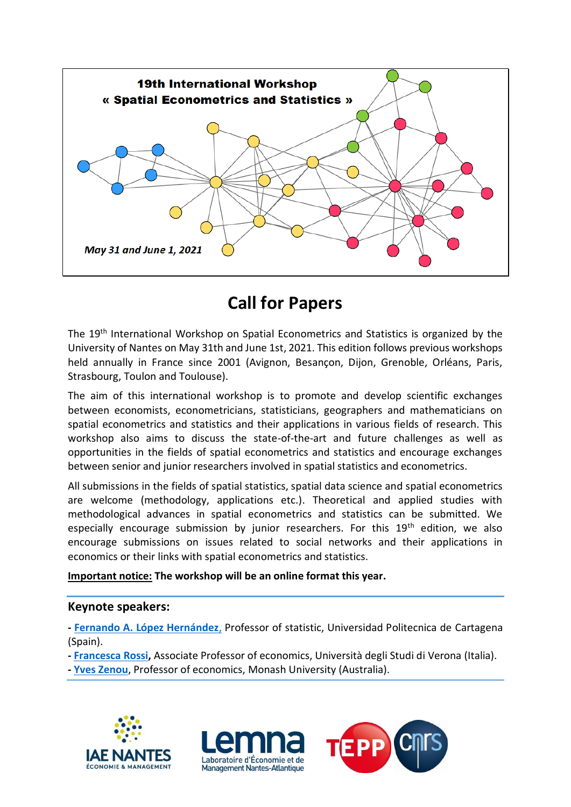

# **Call for Papers**

The 19th International Workshop on Spatial Econometrics and Statistics is organized by the University of Nantes on May 31th and June 1st, 2021. This edition follows previous workshops held annually in France since 2001 (Avignon, Besancon, Dijon, Grenoble, Orléans, Paris, Strasbourg, Toulon and Toulouse).

The aim of this international workshop is to promote and develop scientific exchanges between economists, econometricians, statisticians, geographers and mathematicians on spatial econometrics and statistics and their applications in various fields of research. This workshop also aims to discuss the state-of-the-art and future challenges as well as opportunities in the fields of spatial econometrics and statistics and encourage exchanges between senior and junior researchers involved in spatial statistics and econometrics.

All submissions in the fields of spatial statistics, spatial data science and spatial econometrics are welcome (methodology, applications etc.). Theoretical and applied studies with methodological advances in spatial econometrics and statistics can be submitted. We especially encourage submission by junior researchers. For this 19<sup>th</sup> edition, we also encourage submissions on issues related to social networks and their applications in economics or their links with spatial econometrics and statistics.

#### **Important notice: The workshop will be an online format this year.**

#### **Keynote speakers:**

**- [Fernando A. López Hernández](http://metodos.upct.es/falopez/)**, Professor of statistic, Universidad Politecnica de Cartagena (Spain).

**- [Francesca Rossi,](https://www.dse.univr.it/?ent=persona&id=39771&lang=en)** Associate Professor of economics, Università degli Studi di Verona (Italia).

**- [Yves Zenou](https://sites.google.com/site/yvesbzenou/)**, Professor of economics, Monash University (Australia).